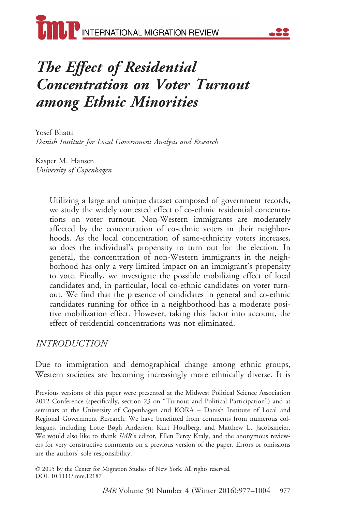

# The Effect of Residential Concentration on Voter Turnout among Ethnic Minorities

Yosef Bhatti Danish Institute for Local Government Analysis and Research

Kasper M. Hansen University of Copenhagen

> Utilizing a large and unique dataset composed of government records, we study the widely contested effect of co-ethnic residential concentrations on voter turnout. Non-Western immigrants are moderately affected by the concentration of co-ethnic voters in their neighborhoods. As the local concentration of same-ethnicity voters increases, so does the individual's propensity to turn out for the election. In general, the concentration of non-Western immigrants in the neighborhood has only a very limited impact on an immigrant's propensity to vote. Finally, we investigate the possible mobilizing effect of local candidates and, in particular, local co-ethnic candidates on voter turnout. We find that the presence of candidates in general and co-ethnic candidates running for office in a neighborhood has a moderate positive mobilization effect. However, taking this factor into account, the effect of residential concentrations was not eliminated.

#### INTRODUCTION

Due to immigration and demographical change among ethnic groups, Western societies are becoming increasingly more ethnically diverse. It is

Previous versions of this paper were presented at the Midwest Political Science Association 2012 Conference (specifically, section 23 on "Turnout and Political Participation") and at seminars at the University of Copenhagen and KORA – Danish Institute of Local and Regional Government Research. We have benefitted from comments from numerous colleagues, including Lotte Bøgh Andersen, Kurt Houlberg, and Matthew L. Jacobsmeier. We would also like to thank IMR's editor, Ellen Percy Kraly, and the anonymous reviewers for very constructive comments on a previous version of the paper. Errors or omissions are the authors' sole responsibility.

© 2015 by the Center for Migration Studies of New York. All rights reserved. DOI: 10.1111/imre.12187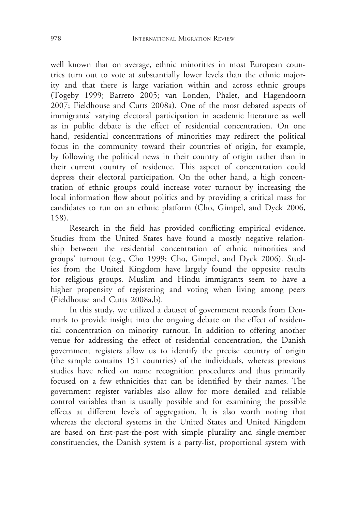well known that on average, ethnic minorities in most European countries turn out to vote at substantially lower levels than the ethnic majority and that there is large variation within and across ethnic groups (Togeby 1999; Barreto 2005; van Londen, Phalet, and Hagendoorn 2007; Fieldhouse and Cutts 2008a). One of the most debated aspects of immigrants' varying electoral participation in academic literature as well as in public debate is the effect of residential concentration. On one hand, residential concentrations of minorities may redirect the political focus in the community toward their countries of origin, for example, by following the political news in their country of origin rather than in their current country of residence. This aspect of concentration could depress their electoral participation. On the other hand, a high concentration of ethnic groups could increase voter turnout by increasing the local information flow about politics and by providing a critical mass for candidates to run on an ethnic platform (Cho, Gimpel, and Dyck 2006, 158).

Research in the field has provided conflicting empirical evidence. Studies from the United States have found a mostly negative relationship between the residential concentration of ethnic minorities and groups' turnout (e.g., Cho 1999; Cho, Gimpel, and Dyck 2006). Studies from the United Kingdom have largely found the opposite results for religious groups. Muslim and Hindu immigrants seem to have a higher propensity of registering and voting when living among peers (Fieldhouse and Cutts 2008a,b).

In this study, we utilized a dataset of government records from Denmark to provide insight into the ongoing debate on the effect of residential concentration on minority turnout. In addition to offering another venue for addressing the effect of residential concentration, the Danish government registers allow us to identify the precise country of origin (the sample contains 151 countries) of the individuals, whereas previous studies have relied on name recognition procedures and thus primarily focused on a few ethnicities that can be identified by their names. The government register variables also allow for more detailed and reliable control variables than is usually possible and for examining the possible effects at different levels of aggregation. It is also worth noting that whereas the electoral systems in the United States and United Kingdom are based on first-past-the-post with simple plurality and single-member constituencies, the Danish system is a party-list, proportional system with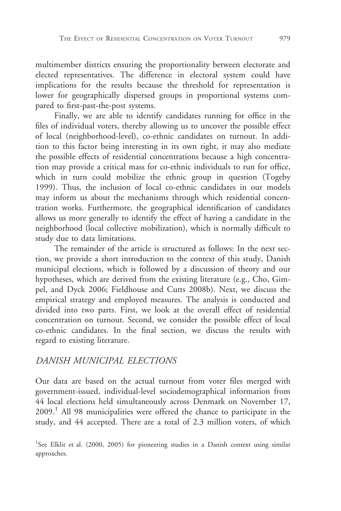multimember districts ensuring the proportionality between electorate and elected representatives. The difference in electoral system could have implications for the results because the threshold for representation is lower for geographically dispersed groups in proportional systems compared to first-past-the-post systems.

Finally, we are able to identify candidates running for office in the files of individual voters, thereby allowing us to uncover the possible effect of local (neighborhood-level), co-ethnic candidates on turnout. In addition to this factor being interesting in its own right, it may also mediate the possible effects of residential concentrations because a high concentration may provide a critical mass for co-ethnic individuals to run for office, which in turn could mobilize the ethnic group in question (Togeby 1999). Thus, the inclusion of local co-ethnic candidates in our models may inform us about the mechanisms through which residential concentration works. Furthermore, the geographical identification of candidates allows us more generally to identify the effect of having a candidate in the neighborhood (local collective mobilization), which is normally difficult to study due to data limitations.

The remainder of the article is structured as follows: In the next section, we provide a short introduction to the context of this study, Danish municipal elections, which is followed by a discussion of theory and our hypotheses, which are derived from the existing literature (e.g., Cho, Gimpel, and Dyck 2006; Fieldhouse and Cutts 2008b). Next, we discuss the empirical strategy and employed measures. The analysis is conducted and divided into two parts. First, we look at the overall effect of residential concentration on turnout. Second, we consider the possible effect of local co-ethnic candidates. In the final section, we discuss the results with regard to existing literature.

#### DANISH MUNICIPAL ELECTIONS

Our data are based on the actual turnout from voter files merged with government-issued, individual-level sociodemographical information from 44 local elections held simultaneously across Denmark on November 17,  $2009<sup>1</sup>$  All 98 municipalities were offered the chance to participate in the study, and 44 accepted. There are a total of 2.3 million voters, of which

<sup>&</sup>lt;sup>1</sup>See Elklit et al. (2000, 2005) for pioneering studies in a Danish context using similar approaches.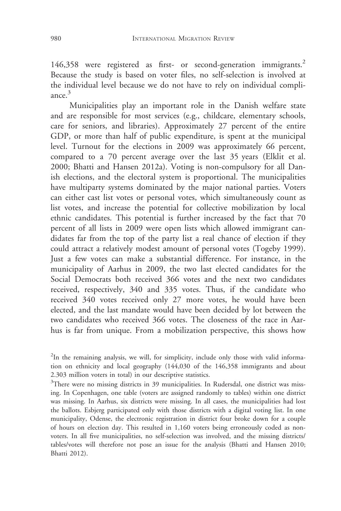146,358 were registered as first- or second-generation immigrants.<sup>2</sup> Because the study is based on voter files, no self-selection is involved at the individual level because we do not have to rely on individual compliance.<sup>3</sup>

Municipalities play an important role in the Danish welfare state and are responsible for most services (e.g., childcare, elementary schools, care for seniors, and libraries). Approximately 27 percent of the entire GDP, or more than half of public expenditure, is spent at the municipal level. Turnout for the elections in 2009 was approximately 66 percent, compared to a 70 percent average over the last 35 years (Elklit et al. 2000; Bhatti and Hansen 2012a). Voting is non-compulsory for all Danish elections, and the electoral system is proportional. The municipalities have multiparty systems dominated by the major national parties. Voters can either cast list votes or personal votes, which simultaneously count as list votes, and increase the potential for collective mobilization by local ethnic candidates. This potential is further increased by the fact that 70 percent of all lists in 2009 were open lists which allowed immigrant candidates far from the top of the party list a real chance of election if they could attract a relatively modest amount of personal votes (Togeby 1999). Just a few votes can make a substantial difference. For instance, in the municipality of Aarhus in 2009, the two last elected candidates for the Social Democrats both received 366 votes and the next two candidates received, respectively, 340 and 335 votes. Thus, if the candidate who received 340 votes received only 27 more votes, he would have been elected, and the last mandate would have been decided by lot between the two candidates who received 366 votes. The closeness of the race in Aarhus is far from unique. From a mobilization perspective, this shows how

<sup>3</sup>There were no missing districts in 39 municipalities. In Rudersdal, one district was missing. In Copenhagen, one table (voters are assigned randomly to tables) within one district was missing. In Aarhus, six districts were missing. In all cases, the municipalities had lost the ballots. Esbjerg participated only with those districts with a digital voting list. In one municipality, Odense, the electronic registration in district four broke down for a couple of hours on election day. This resulted in 1,160 voters being erroneously coded as nonvoters. In all five municipalities, no self-selection was involved, and the missing districts/ tables/votes will therefore not pose an issue for the analysis (Bhatti and Hansen 2010; Bhatti 2012).

<sup>&</sup>lt;sup>2</sup>In the remaining analysis, we will, for simplicity, include only those with valid information on ethnicity and local geography (144,030 of the 146,358 immigrants and about 2.303 million voters in total) in our descriptive statistics.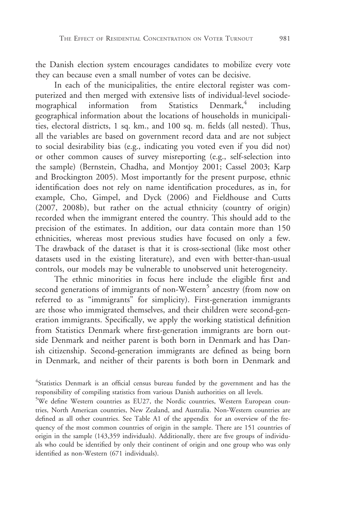the Danish election system encourages candidates to mobilize every vote they can because even a small number of votes can be decisive.

In each of the municipalities, the entire electoral register was computerized and then merged with extensive lists of individual-level sociodemographical information from Statistics Denmark, $4$  including geographical information about the locations of households in municipalities, electoral districts, 1 sq. km., and 100 sq. m. fields (all nested). Thus, all the variables are based on government record data and are not subject to social desirability bias (e.g., indicating you voted even if you did not) or other common causes of survey misreporting (e.g., self-selection into the sample) (Bernstein, Chadha, and Montjoy 2001; Cassel 2003; Karp and Brockington 2005). Most importantly for the present purpose, ethnic identification does not rely on name identification procedures, as in, for example, Cho, Gimpel, and Dyck (2006) and Fieldhouse and Cutts (2007, 2008b), but rather on the actual ethnicity (country of origin) recorded when the immigrant entered the country. This should add to the precision of the estimates. In addition, our data contain more than 150 ethnicities, whereas most previous studies have focused on only a few. The drawback of the dataset is that it is cross-sectional (like most other datasets used in the existing literature), and even with better-than-usual controls, our models may be vulnerable to unobserved unit heterogeneity.

The ethnic minorities in focus here include the eligible first and second generations of immigrants of non-Western<sup>5</sup> ancestry (from now on referred to as "immigrants" for simplicity). First-generation immigrants are those who immigrated themselves, and their children were second-generation immigrants. Specifically, we apply the working statistical definition from Statistics Denmark where first-generation immigrants are born outside Denmark and neither parent is both born in Denmark and has Danish citizenship. Second-generation immigrants are defined as being born in Denmark, and neither of their parents is both born in Denmark and

<sup>5</sup>We define Western countries as EU27, the Nordic countries, Western European countries, North American countries, New Zealand, and Australia. Non-Western countries are defined as all other countries. See Table A1 of the appendix for an overview of the frequency of the most common countries of origin in the sample. There are 151 countries of origin in the sample (143,359 individuals). Additionally, there are five groups of individuals who could be identified by only their continent of origin and one group who was only identified as non-Western (671 individuals).

<sup>&</sup>lt;sup>4</sup>Statistics Denmark is an official census bureau funded by the government and has the responsibility of compiling statistics from various Danish authorities on all levels.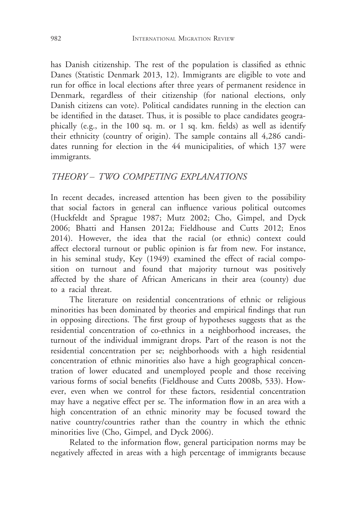has Danish citizenship. The rest of the population is classified as ethnic Danes (Statistic Denmark 2013, 12). Immigrants are eligible to vote and run for office in local elections after three years of permanent residence in Denmark, regardless of their citizenship (for national elections, only Danish citizens can vote). Political candidates running in the election can be identified in the dataset. Thus, it is possible to place candidates geographically (e.g., in the 100 sq. m. or 1 sq. km. fields) as well as identify their ethnicity (country of origin). The sample contains all 4,286 candidates running for election in the 44 municipalities, of which 137 were immigrants.

# THEORY – TWO COMPETING EXPLANATIONS

In recent decades, increased attention has been given to the possibility that social factors in general can influence various political outcomes (Huckfeldt and Sprague 1987; Mutz 2002; Cho, Gimpel, and Dyck 2006; Bhatti and Hansen 2012a; Fieldhouse and Cutts 2012; Enos 2014). However, the idea that the racial (or ethnic) context could affect electoral turnout or public opinion is far from new. For instance, in his seminal study, Key (1949) examined the effect of racial composition on turnout and found that majority turnout was positively affected by the share of African Americans in their area (county) due to a racial threat.

The literature on residential concentrations of ethnic or religious minorities has been dominated by theories and empirical findings that run in opposing directions. The first group of hypotheses suggests that as the residential concentration of co-ethnics in a neighborhood increases, the turnout of the individual immigrant drops. Part of the reason is not the residential concentration per se; neighborhoods with a high residential concentration of ethnic minorities also have a high geographical concentration of lower educated and unemployed people and those receiving various forms of social benefits (Fieldhouse and Cutts 2008b, 533). However, even when we control for these factors, residential concentration may have a negative effect per se. The information flow in an area with a high concentration of an ethnic minority may be focused toward the native country/countries rather than the country in which the ethnic minorities live (Cho, Gimpel, and Dyck 2006).

Related to the information flow, general participation norms may be negatively affected in areas with a high percentage of immigrants because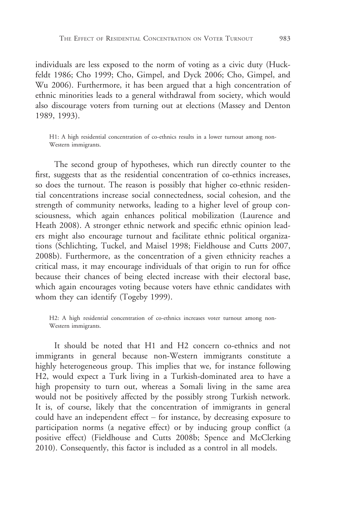individuals are less exposed to the norm of voting as a civic duty (Huckfeldt 1986; Cho 1999; Cho, Gimpel, and Dyck 2006; Cho, Gimpel, and Wu 2006). Furthermore, it has been argued that a high concentration of ethnic minorities leads to a general withdrawal from society, which would also discourage voters from turning out at elections (Massey and Denton 1989, 1993).

H1: A high residential concentration of co-ethnics results in a lower turnout among non-Western immigrants.

The second group of hypotheses, which run directly counter to the first, suggests that as the residential concentration of co-ethnics increases, so does the turnout. The reason is possibly that higher co-ethnic residential concentrations increase social connectedness, social cohesion, and the strength of community networks, leading to a higher level of group consciousness, which again enhances political mobilization (Laurence and Heath 2008). A stronger ethnic network and specific ethnic opinion leaders might also encourage turnout and facilitate ethnic political organizations (Schlichting, Tuckel, and Maisel 1998; Fieldhouse and Cutts 2007, 2008b). Furthermore, as the concentration of a given ethnicity reaches a critical mass, it may encourage individuals of that origin to run for office because their chances of being elected increase with their electoral base, which again encourages voting because voters have ethnic candidates with whom they can identify (Togeby 1999).

H2: A high residential concentration of co-ethnics increases voter turnout among non-Western immigrants.

It should be noted that H1 and H2 concern co-ethnics and not immigrants in general because non-Western immigrants constitute a highly heterogeneous group. This implies that we, for instance following H2, would expect a Turk living in a Turkish-dominated area to have a high propensity to turn out, whereas a Somali living in the same area would not be positively affected by the possibly strong Turkish network. It is, of course, likely that the concentration of immigrants in general could have an independent effect – for instance, by decreasing exposure to participation norms (a negative effect) or by inducing group conflict (a positive effect) (Fieldhouse and Cutts 2008b; Spence and McClerking 2010). Consequently, this factor is included as a control in all models.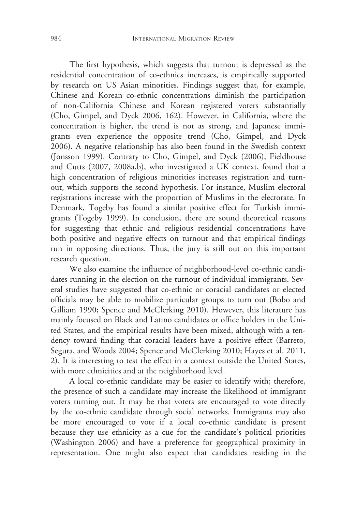The first hypothesis, which suggests that turnout is depressed as the residential concentration of co-ethnics increases, is empirically supported by research on US Asian minorities. Findings suggest that, for example, Chinese and Korean co-ethnic concentrations diminish the participation of non-California Chinese and Korean registered voters substantially (Cho, Gimpel, and Dyck 2006, 162). However, in California, where the concentration is higher, the trend is not as strong, and Japanese immigrants even experience the opposite trend (Cho, Gimpel, and Dyck 2006). A negative relationship has also been found in the Swedish context (Jonsson 1999). Contrary to Cho, Gimpel, and Dyck (2006), Fieldhouse and Cutts (2007, 2008a,b), who investigated a UK context, found that a high concentration of religious minorities increases registration and turnout, which supports the second hypothesis. For instance, Muslim electoral registrations increase with the proportion of Muslims in the electorate. In Denmark, Togeby has found a similar positive effect for Turkish immigrants (Togeby 1999). In conclusion, there are sound theoretical reasons for suggesting that ethnic and religious residential concentrations have both positive and negative effects on turnout and that empirical findings run in opposing directions. Thus, the jury is still out on this important research question.

We also examine the influence of neighborhood-level co-ethnic candidates running in the election on the turnout of individual immigrants. Several studies have suggested that co-ethnic or coracial candidates or elected officials may be able to mobilize particular groups to turn out (Bobo and Gilliam 1990; Spence and McClerking 2010). However, this literature has mainly focused on Black and Latino candidates or office holders in the United States, and the empirical results have been mixed, although with a tendency toward finding that coracial leaders have a positive effect (Barreto, Segura, and Woods 2004; Spence and McClerking 2010; Hayes et al. 2011, 2). It is interesting to test the effect in a context outside the United States, with more ethnicities and at the neighborhood level.

A local co-ethnic candidate may be easier to identify with; therefore, the presence of such a candidate may increase the likelihood of immigrant voters turning out. It may be that voters are encouraged to vote directly by the co-ethnic candidate through social networks. Immigrants may also be more encouraged to vote if a local co-ethnic candidate is present because they use ethnicity as a cue for the candidate's political priorities (Washington 2006) and have a preference for geographical proximity in representation. One might also expect that candidates residing in the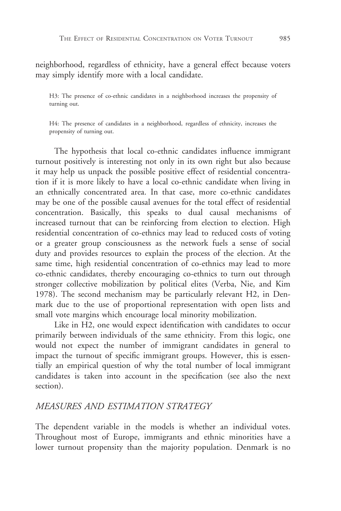neighborhood, regardless of ethnicity, have a general effect because voters may simply identify more with a local candidate.

H3: The presence of co-ethnic candidates in a neighborhood increases the propensity of turning out.

H4: The presence of candidates in a neighborhood, regardless of ethnicity, increases the propensity of turning out.

The hypothesis that local co-ethnic candidates influence immigrant turnout positively is interesting not only in its own right but also because it may help us unpack the possible positive effect of residential concentration if it is more likely to have a local co-ethnic candidate when living in an ethnically concentrated area. In that case, more co-ethnic candidates may be one of the possible causal avenues for the total effect of residential concentration. Basically, this speaks to dual causal mechanisms of increased turnout that can be reinforcing from election to election. High residential concentration of co-ethnics may lead to reduced costs of voting or a greater group consciousness as the network fuels a sense of social duty and provides resources to explain the process of the election. At the same time, high residential concentration of co-ethnics may lead to more co-ethnic candidates, thereby encouraging co-ethnics to turn out through stronger collective mobilization by political elites (Verba, Nie, and Kim 1978). The second mechanism may be particularly relevant H2, in Denmark due to the use of proportional representation with open lists and small vote margins which encourage local minority mobilization.

Like in H2, one would expect identification with candidates to occur primarily between individuals of the same ethnicity. From this logic, one would not expect the number of immigrant candidates in general to impact the turnout of specific immigrant groups. However, this is essentially an empirical question of why the total number of local immigrant candidates is taken into account in the specification (see also the next section).

#### MEASURES AND ESTIMATION STRATEGY

The dependent variable in the models is whether an individual votes. Throughout most of Europe, immigrants and ethnic minorities have a lower turnout propensity than the majority population. Denmark is no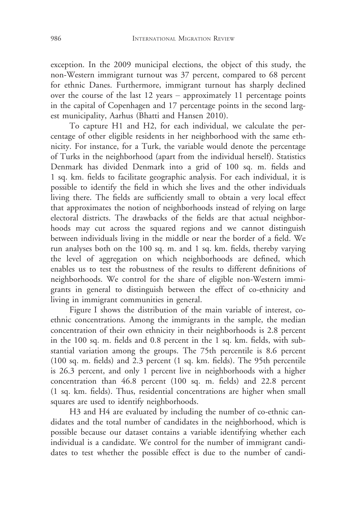exception. In the 2009 municipal elections, the object of this study, the non-Western immigrant turnout was 37 percent, compared to 68 percent for ethnic Danes. Furthermore, immigrant turnout has sharply declined over the course of the last 12 years – approximately 11 percentage points in the capital of Copenhagen and 17 percentage points in the second largest municipality, Aarhus (Bhatti and Hansen 2010).

To capture H1 and H2, for each individual, we calculate the percentage of other eligible residents in her neighborhood with the same ethnicity. For instance, for a Turk, the variable would denote the percentage of Turks in the neighborhood (apart from the individual herself). Statistics Denmark has divided Denmark into a grid of 100 sq. m. fields and 1 sq. km. fields to facilitate geographic analysis. For each individual, it is possible to identify the field in which she lives and the other individuals living there. The fields are sufficiently small to obtain a very local effect that approximates the notion of neighborhoods instead of relying on large electoral districts. The drawbacks of the fields are that actual neighborhoods may cut across the squared regions and we cannot distinguish between individuals living in the middle or near the border of a field. We run analyses both on the 100 sq. m. and 1 sq. km. fields, thereby varying the level of aggregation on which neighborhoods are defined, which enables us to test the robustness of the results to different definitions of neighborhoods. We control for the share of eligible non-Western immigrants in general to distinguish between the effect of co-ethnicity and living in immigrant communities in general.

Figure I shows the distribution of the main variable of interest, coethnic concentrations. Among the immigrants in the sample, the median concentration of their own ethnicity in their neighborhoods is 2.8 percent in the 100 sq. m. fields and 0.8 percent in the 1 sq. km. fields, with substantial variation among the groups. The 75th percentile is 8.6 percent (100 sq. m. fields) and 2.3 percent (1 sq. km. fields). The 95th percentile is 26.3 percent, and only 1 percent live in neighborhoods with a higher concentration than 46.8 percent (100 sq. m. fields) and 22.8 percent (1 sq. km. fields). Thus, residential concentrations are higher when small squares are used to identify neighborhoods.

H3 and H4 are evaluated by including the number of co-ethnic candidates and the total number of candidates in the neighborhood, which is possible because our dataset contains a variable identifying whether each individual is a candidate. We control for the number of immigrant candidates to test whether the possible effect is due to the number of candi-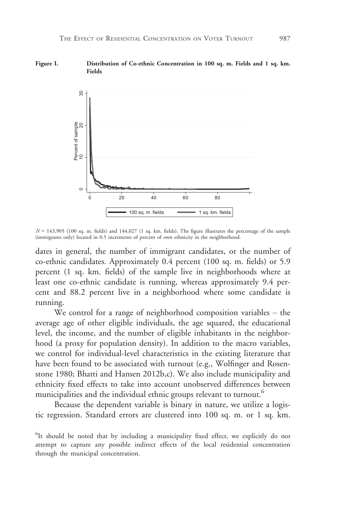



 $N = 143,905$  (100 sq. m. fields) and  $144,027$  (1 sq. km. fields). The figure illustrates the percentage of the sample (immigrants only) located in 0.5 increments of percent of own ethnicity in the neighborhood.

dates in general, the number of immigrant candidates, or the number of co-ethnic candidates. Approximately 0.4 percent (100 sq. m. fields) or 5.9 percent (1 sq. km. fields) of the sample live in neighborhoods where at least one co-ethnic candidate is running, whereas approximately 9.4 percent and 88.2 percent live in a neighborhood where some candidate is running.

We control for a range of neighborhood composition variables – the average age of other eligible individuals, the age squared, the educational level, the income, and the number of eligible inhabitants in the neighborhood (a proxy for population density). In addition to the macro variables, we control for individual-level characteristics in the existing literature that have been found to be associated with turnout (e.g., Wolfinger and Rosenstone 1980; Bhatti and Hansen 2012b,c). We also include municipality and ethnicity fixed effects to take into account unobserved differences between municipalities and the individual ethnic groups relevant to turnout.<sup>6</sup>

Because the dependent variable is binary in nature, we utilize a logistic regression. Standard errors are clustered into 100 sq. m. or 1 sq. km.

<sup>&</sup>lt;sup>6</sup>It should be noted that by including a municipality fixed effect, we explicitly do not attempt to capture any possible indirect effects of the local residential concentration through the municipal concentration.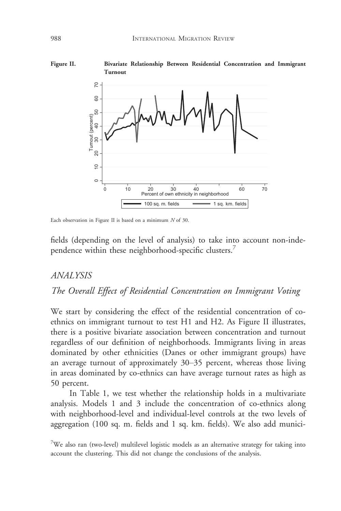

Each observation in Figure II is based on a minimum N of 30.

fields (depending on the level of analysis) to take into account non-independence within these neighborhood-specific clusters.<sup>7</sup>

#### ANALYSIS

### The Overall Effect of Residential Concentration on Immigrant Voting

We start by considering the effect of the residential concentration of coethnics on immigrant turnout to test H1 and H2. As Figure II illustrates, there is a positive bivariate association between concentration and turnout regardless of our definition of neighborhoods. Immigrants living in areas dominated by other ethnicities (Danes or other immigrant groups) have an average turnout of approximately 30–35 percent, whereas those living in areas dominated by co-ethnics can have average turnout rates as high as 50 percent.

In Table 1, we test whether the relationship holds in a multivariate analysis. Models 1 and 3 include the concentration of co-ethnics along with neighborhood-level and individual-level controls at the two levels of aggregation (100 sq. m. fields and 1 sq. km. fields). We also add munici-

 $7$ We also ran (two-level) multilevel logistic models as an alternative strategy for taking into account the clustering. This did not change the conclusions of the analysis.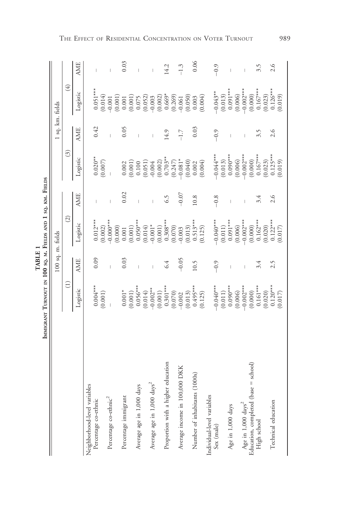|                                        | IMMIGRANT TURNOUT IN 100 SQ. M. FIELDS AND 1 SQ. KM. FIELDS |                   |                       |                                |                                                 |                  |                                                                                              |            |
|----------------------------------------|-------------------------------------------------------------|-------------------|-----------------------|--------------------------------|-------------------------------------------------|------------------|----------------------------------------------------------------------------------------------|------------|
|                                        |                                                             | 100 sq. m. fields |                       |                                |                                                 | 1 sq. km. fields |                                                                                              |            |
|                                        | $\widehat{\Xi}$                                             |                   | $\widehat{c}$         |                                | $\widehat{\odot}$                               |                  | $\bigoplus$                                                                                  |            |
|                                        | $Logistic$                                                  | <b>AME</b>        | Logistic              | <b>AME</b>                     | Logistic                                        | <b>AME</b>       | Logistic                                                                                     | <b>AME</b> |
| Neighborhood-level variables           |                                                             |                   |                       |                                |                                                 |                  |                                                                                              |            |
| Percentage co-ethnic                   | $0.004***$                                                  | 0.09              | $0.012***$            | $\begin{array}{c} \end{array}$ | $0.020**$<br>(0.007)                            | 0.42             | $0.051***$<br>(0.014)                                                                        |            |
|                                        | (0.001)                                                     |                   | (0.002)               |                                |                                                 |                  |                                                                                              |            |
| Percentage co-ethnic <sup>2</sup>      |                                                             |                   | $-0.000**$            | $\overline{1}$                 |                                                 |                  | $-0.001$                                                                                     |            |
| Percentage immigrant                   | $0.001*$                                                    | 0.03              | (0.000)<br>0.001      | 0.02                           | 0.002                                           | 0.05             | (0.001)<br>$0.001\,$                                                                         | 0.03       |
|                                        | (0.001)                                                     |                   | (0.001)               |                                | (0.001)                                         |                  |                                                                                              |            |
| Average age in 1,000 days              | $0.056***$                                                  | $\overline{1}$    | $0.050***$            | $\overline{1}$                 |                                                 | $\overline{1}$   | $\begin{array}{l} (0.001)\\ 0.075\\ 0.052)\\ 0.003\\ 0.002)\\ 0.669^*\\ 0.669^* \end{array}$ |            |
|                                        | (0.014)                                                     |                   | (0.014)               |                                | (0.100)                                         |                  |                                                                                              |            |
| Average age in 1,000 days <sup>2</sup> | $0.002**$                                                   |                   | $-0.001*$             | $\overline{1}$                 | $-0.004$                                        | $\overline{1}$   |                                                                                              |            |
|                                        | (0.001)                                                     |                   | (0.001)               |                                | (0.002)                                         |                  |                                                                                              |            |
| Proportion with a higher education     | $0.301***$                                                  | 6.4               | $0.308***$            | 6.5                            | $0.703**$                                       | 14.9             |                                                                                              | 14.2       |
|                                        | (0.070)                                                     |                   | (0.070)               |                                | (0.247)                                         |                  | $(0.269)$<br>$-0.061$                                                                        |            |
| Average income in 100,000 DKK          | $-0.002$                                                    | $-0.05$           | $-0.003$              | $-0.07$                        | $-0.081^*$                                      | $-1.7$           |                                                                                              | $-1.3$     |
|                                        | (0.013)                                                     |                   | (0.013)               |                                | (0.040)                                         |                  | $(0.050)$<br>$0.003$                                                                         |            |
| Number of inhabitants (1000s)          | $0.495***$                                                  | 10.5              | $0.513***$            | 10.8                           | $\begin{array}{c} 0.002 \\ (0.004) \end{array}$ | 0.03             |                                                                                              | 0.06       |
|                                        | (0.125)                                                     |                   | (0.125)               |                                |                                                 |                  | (0.004)                                                                                      |            |
| Individual-level variables             |                                                             |                   |                       |                                |                                                 |                  |                                                                                              |            |
| Sex (male)                             | $-0.040***$                                                 | $-0.9$            | $-0.040***$           | $-0.8$                         | $-0.044$ ***                                    | $-0.9$           | $-0.043**$                                                                                   | $-0.9$     |
|                                        | (0.011)                                                     |                   | $\left( 0.011\right)$ |                                | (0.013)                                         |                  |                                                                                              |            |
| Age in 1,000 days                      | $0.090***$                                                  | $\overline{1}$    | $0.091***$            | $\overline{1}$                 | $0.090***$                                      | $\overline{1}$   | $(0.013)$<br>0.091***                                                                        |            |
|                                        | (0.006)                                                     |                   | (0.006)               |                                | (0.006)                                         |                  | (0.006)                                                                                      |            |
| Age in 1,000 days <sup>2</sup>         | $-0.002***$                                                 |                   | $-0.002***$           |                                | $-0.002***$                                     |                  | $-0.002***$                                                                                  |            |
| Education, completed (base = school)   | (0.000)                                                     |                   | (0.000)               |                                | (0.000)                                         |                  | (0.000)                                                                                      |            |
| High school                            | $0.161***$                                                  | 3.4               | $0.162***$            | 3.4                            | $0.167***$                                      | 3.5              | $0.167***$                                                                                   | 3.5        |
|                                        | (0.020)                                                     |                   | (0.020)               |                                | (0.023)                                         |                  | $(0.023)$<br>0.126***<br>(0.019)                                                             |            |
| Technical education                    | $0.120***$                                                  | 2.5               | $0.122***$            | 2.6                            | $0.125***$                                      | 2.6              |                                                                                              | 2.6        |
|                                        | (0.017)                                                     |                   | (0.017)               |                                | (0.019)                                         |                  |                                                                                              |            |

TABLE 1 TABLE 1

THE EFFECT OF RESIDENTIAL CONCENTRATION ON VOTER TURNOUT 989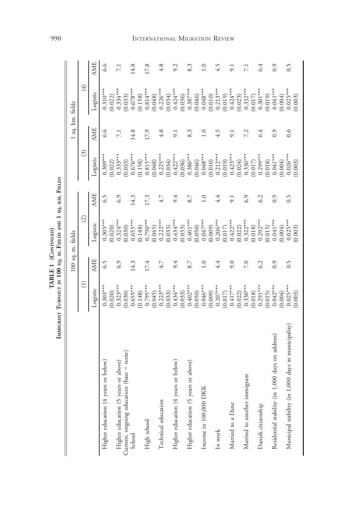|           | Terms<br>KM.<br>co  |
|-----------|---------------------|
|           | FIELDS AND          |
| T DE FORE | SQ.M.<br>$\sim 100$ |
|           |                     |

|                                                     |                         | 100 sq. m. fields |                       |                    |                                              |            | 1 sq. km. fields                                                                                                                                                        |                 |
|-----------------------------------------------------|-------------------------|-------------------|-----------------------|--------------------|----------------------------------------------|------------|-------------------------------------------------------------------------------------------------------------------------------------------------------------------------|-----------------|
|                                                     | $\widehat{\Xi}$         |                   | $\widehat{\odot}$     |                    | $\widehat{S}$                                |            | $\tag{4}$                                                                                                                                                               |                 |
|                                                     | Logistic                | <b>AME</b>        | Logistic              | <b>AME</b>         | Logistic                                     | <b>AME</b> | Logistic                                                                                                                                                                | <b>AME</b>      |
| Higher education (4 years or below)                 | $0.303***$              | 6.5               | $0.305***$            | 6.5                | $0.309***$                                   | 6.6        | $0.310***$                                                                                                                                                              | 9.9             |
|                                                     | (0.020)                 |                   | (0.020)               |                    | (0.022)                                      |            |                                                                                                                                                                         |                 |
| Higher education (5 years or above)                 | $0.323***$              | 6.9               | $0.324***$            | 6.9                | $0.333***$                                   | 7.1        |                                                                                                                                                                         | 7.1             |
| Current, ongoing education (base = none)            | (0.030)                 |                   | (0.030)               |                    | (0.033)                                      |            |                                                                                                                                                                         |                 |
| School                                              | $0.655***$              | 14.3              | $0.655***$            | 14.3               | $0.676***$                                   | 14.8       | $(0.022)$<br>0.334***<br>0.033)<br>0.678***                                                                                                                             | 14.8            |
|                                                     | (0.148)                 |                   | (0.148)               |                    | (0.158)                                      |            |                                                                                                                                                                         |                 |
| High school                                         | $0.795***$              | 17.4              | $0.790***$            | 17.3               | $0.815***$<br>(0.048)                        | 17.9       | $(0.158)$<br>0.814***                                                                                                                                                   | 17.8            |
|                                                     | (0.045)                 |                   | (0.045)               |                    |                                              |            |                                                                                                                                                                         |                 |
| Technical education                                 | $0.223***$              | 4.7               | $0.222***$            | 4.7                | $0.225***$                                   | 4.8        | $(0.048)$<br>0.226***                                                                                                                                                   | 4.8             |
|                                                     | (0.033)                 |                   | (0.033)               |                    |                                              |            |                                                                                                                                                                         |                 |
| Higher education (4 years or below)                 | $0.434***$              | 9.4               | $0.434***$            | 9.4                |                                              | 9.1        |                                                                                                                                                                         | 9.2             |
|                                                     | (0.033)                 |                   | $(0.033)$<br>0.401*** |                    | $(0.034)$<br>0.422***<br>(0.036)<br>0.386*** |            | $(0.034)$<br>0.424***<br>(0.036)<br>0.387***                                                                                                                            |                 |
| Higher education (5 years or above)                 | $0.402***$              | 8.7               |                       | 8.7                |                                              | 8.3        |                                                                                                                                                                         | 8.3             |
|                                                     | $(0.050)$<br>$0.046***$ |                   | (0.050)               |                    | $(0.046)$<br>0.048***<br>(0.010)<br>0.212*** |            |                                                                                                                                                                         |                 |
| Income in 100,000 DKK                               |                         | $\overline{0}$ .  | $0.047***$            | 1.0                |                                              | 1.0        |                                                                                                                                                                         | 1.0             |
|                                                     | (0.009)                 |                   | (0.009)               |                    |                                              |            |                                                                                                                                                                         |                 |
| In work                                             | $0.207***$              | 4.4               | $0.206***$            | 4.4                |                                              | 4.5        |                                                                                                                                                                         | 4.5             |
|                                                     | (0.017)                 |                   | (0.017)               |                    | (0.019)                                      |            |                                                                                                                                                                         |                 |
| Married to a Dane                                   | $0.417***$              | 9.0               | $0.422***$            | 9.1                | $0.423***$<br>(0.024)<br>0.336***<br>0.017)  | 9.1        | $\begin{array}{l} (0.046)\\ 0.048***\\ 0.048***\\ (0.010)\\ (0.011)\\ (0.019)\\ (0.012)\\ (0.024***\\ (0.023)\\ (0.0332***\\ (0.017)\\ (0.017)\\ (0.018*** \end{array}$ | 9.1             |
|                                                     | (0.022)                 |                   | (0.022)               |                    |                                              |            |                                                                                                                                                                         |                 |
| Married to another immigrant                        | $0.330***$<br>(0.018)   | 7.0               | $0.322***$            | 6.9                |                                              | 7.2        |                                                                                                                                                                         | $\overline{71}$ |
|                                                     |                         |                   | (0.018)               |                    |                                              |            |                                                                                                                                                                         |                 |
| Danish citizenship                                  | $0.291***$              | 6.2               | $0.292***$            | 6.2                | $0.299***$                                   | 6.4        |                                                                                                                                                                         | 6.4             |
|                                                     | (0.015)                 |                   | (0.015)               |                    | (0.018)                                      |            |                                                                                                                                                                         |                 |
| Residential stability (in 1,000 days on address)    | $0.042***$              | 0.9               | $0.041***$            | 0.9                | $0.041***$                                   | 0.9        | $(0.019)$<br>0.041***<br>0.004)<br>0.025***                                                                                                                             | 0.9             |
|                                                     | 0.004)                  |                   | (0.004)               |                    | 0.004)                                       |            |                                                                                                                                                                         |                 |
| Municipal stability (in 1,000 days in municipality) | $0.025***$              | $\widetilde{0}$ . | $0.025***$            | $\widetilde{0}$ .5 | $0.026***$                                   | 0.6        |                                                                                                                                                                         | 0.5             |
|                                                     | 0.003)                  |                   | (0.003)               |                    | 0.003)                                       |            | 0.003)                                                                                                                                                                  |                 |

#### 990 INTERNATIONAL MIGRATION REVIEW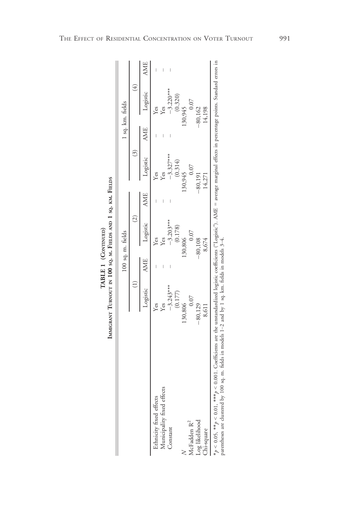|                                                                                    | lsa kn                      |
|------------------------------------------------------------------------------------|-----------------------------|
| IMMIGRANT TURNOUT IN 100 SQ. M. FIELDS AND 1 SQ. KM. FIELDS<br>TABLE 1 (CONTINUED, | $100 \text{ sq. m. fields}$ |

|                                         |                                          |                | 100 sq. m. fields      |            |                      |            | 1 sq. km. fields |  |
|-----------------------------------------|------------------------------------------|----------------|------------------------|------------|----------------------|------------|------------------|--|
|                                         |                                          |                | $\widehat{\mathbb{C}}$ |            |                      |            | $\overline{4}$   |  |
|                                         | Logistic                                 | $\mathbf{AMF}$ | Logistic               | <b>AME</b> | Logistic             | <b>AME</b> | Logistic         |  |
| thnicity fixed effects                  | <b>Yes</b>                               |                | í es                   |            | Yes                  |            | Yes              |  |
| Aunicipality fixed effects              | Yes                                      |                | í es                   |            |                      |            | Yes              |  |
| Constant                                | $-3.243***$                              |                | $-3.203***$            |            | $-3.327***$          |            | $-3.220***$      |  |
|                                         | (0.177)                                  |                | (0.178)                |            | (0.314)              |            | (0.320)          |  |
|                                         | 130,806                                  |                | 30,806                 |            | 130,945              |            | 30,945           |  |
| McFadden R <sup>2</sup>                 | 0.07                                     |                | 0.07                   |            | 0.07                 |            | 0.07             |  |
| Log likelihood                          | $-80,129$                                |                | $-80,108$              |            | $-80,191$            |            | $-80,162$        |  |
| Chi-square                              | 8,611                                    |                | 8,674                  |            | 14,271               |            | 14,198           |  |
| こうどう しっしょう ストー きゅうしゅう こうしょう しょうしょう こうしゃ | しんしゅう スカー・ファー トランディー・ストー・ファー・エー・エー・エー・エー |                |                        |            | $\ddot{\phantom{0}}$ |            | $\frac{1}{2}$    |  |

\*p < 0.05, \*\*p < 0.01, \*\*\*p < 0.001. Coefficients are the unstandardized logistic coefficients ("Logistic"). AME = average marginal effects in percentage points. Standard errors in<br>parentheses are clustered by 100 sq. m. \*p < 0.05, \*\*\*p < 0.001, \*\*\*\*p < 0.001. Coefficients are the unstandardized logistic coefficients ("Logistic"). AME = average marginal effects in percentage points. Standard errors in parentheses are clustered by 100 sq. m. fields in models 1–2 and by 1 sq. km. fields in models 3–4.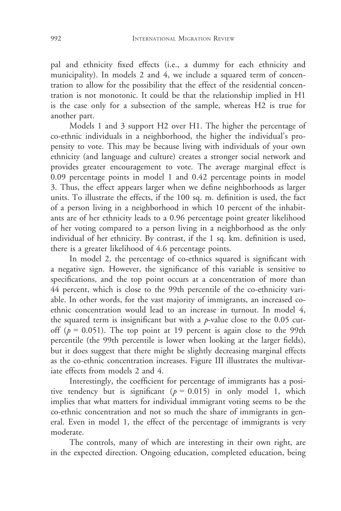pal and ethnicity fixed effects (i.e., a dummy for each ethnicity and municipality). In models 2 and 4, we include a squared term of concentration to allow for the possibility that the effect of the residential concentration is not monotonic. It could be that the relationship implied in H1 is the case only for a subsection of the sample, whereas H2 is true for another part.

Models 1 and 3 support H2 over H1. The higher the percentage of co-ethnic individuals in a neighborhood, the higher the individual's propensity to vote. This may be because living with individuals of your own ethnicity (and language and culture) creates a stronger social network and provides greater encouragement to vote. The average marginal effect is 0.09 percentage points in model 1 and 0.42 percentage points in model 3. Thus, the effect appears larger when we define neighborhoods as larger units. To illustrate the effects, if the 100 sq. m. definition is used, the fact of a person living in a neighborhood in which 10 percent of the inhabitants are of her ethnicity leads to a 0.96 percentage point greater likelihood of her voting compared to a person living in a neighborhood as the only individual of her ethnicity. By contrast, if the 1 sq. km. definition is used, there is a greater likelihood of 4.6 percentage points.

In model 2, the percentage of co-ethnics squared is significant with a negative sign. However, the significance of this variable is sensitive to specifications, and the top point occurs at a concentration of more than 44 percent, which is close to the 99th percentile of the co-ethnicity variable. In other words, for the vast majority of immigrants, an increased coethnic concentration would lead to an increase in turnout. In model 4, the squared term is insignificant but with a  $p$ -value close to the 0.05 cutoff ( $p = 0.051$ ). The top point at 19 percent is again close to the 99th percentile (the 99th percentile is lower when looking at the larger fields), but it does suggest that there might be slightly decreasing marginal effects as the co-ethnic concentration increases. Figure III illustrates the multivariate effects from models 2 and 4.

Interestingly, the coefficient for percentage of immigrants has a positive tendency but is significant ( $p = 0.015$ ) in only model 1, which implies that what matters for individual immigrant voting seems to be the co-ethnic concentration and not so much the share of immigrants in general. Even in model 1, the effect of the percentage of immigrants is very moderate.

The controls, many of which are interesting in their own right, are in the expected direction. Ongoing education, completed education, being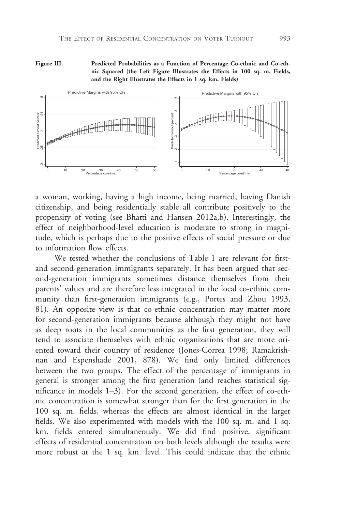Figure III. Predicted Probabilities as a Function of Percentage Co-ethnic and Co-ethnic Squared (the Left Figure Illustrates the Effects in 100 sq. m. Fields, and the Right Illustrates the Effects in 1 sq. km. Fields)



a woman, working, having a high income, being married, having Danish citizenship, and being residentially stable all contribute positively to the propensity of voting (see Bhatti and Hansen 2012a,b). Interestingly, the effect of neighborhood-level education is moderate to strong in magnitude, which is perhaps due to the positive effects of social pressure or due to information flow effects.

We tested whether the conclusions of Table 1 are relevant for firstand second-generation immigrants separately. It has been argued that second-generation immigrants sometimes distance themselves from their parents' values and are therefore less integrated in the local co-ethnic community than first-generation immigrants (e.g., Portes and Zhou 1993, 81). An opposite view is that co-ethnic concentration may matter more for second-generation immigrants because although they might not have as deep roots in the local communities as the first generation, they will tend to associate themselves with ethnic organizations that are more oriented toward their country of residence (Jones-Correa 1998; Ramakrishnan and Espenshade 2001, 878). We find only limited differences between the two groups. The effect of the percentage of immigrants in general is stronger among the first generation (and reaches statistical significance in models 1–3). For the second generation, the effect of co-ethnic concentration is somewhat stronger than for the first generation in the 100 sq. m. fields, whereas the effects are almost identical in the larger fields. We also experimented with models with the 100 sq. m. and 1 sq. km. fields entered simultaneously. We did find positive, significant effects of residential concentration on both levels although the results were  $\begin{tabular}{|c|c|c|c|} \hline \multicolumn{1}{|c|}{\hline \multicolumn{1}{|c|}{\hline \multicolumn{1}{|c|}{\hline \multicolumn{1}{|c|}{\hline \multicolumn{1}{|c|}{\hline \multicolumn{1}{|c|}{\hline \multicolumn{1}{|c|}{\hline \multicolumn{1}{|c|}{\hline \multicolumn{1}{|c|}{\hline \multicolumn{1}{|c|}{\hline \multicolumn{1}{|c|}{\hline \multicolumn{1}{|c|}{\hline \multicolumn{1}{|c|}{\hline \multicolumn{1}{|c|}{\hline \multicolumn{$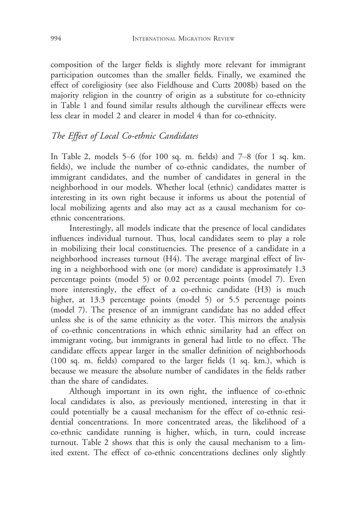composition of the larger fields is slightly more relevant for immigrant participation outcomes than the smaller fields. Finally, we examined the effect of coreligiosity (see also Fieldhouse and Cutts 2008b) based on the majority religion in the country of origin as a substitute for co-ethnicity in Table 1 and found similar results although the curvilinear effects were less clear in model 2 and clearer in model 4 than for co-ethnicity.

# The Effect of Local Co-ethnic Candidates

In Table 2, models 5–6 (for 100 sq. m. fields) and 7–8 (for 1 sq. km. fields), we include the number of co-ethnic candidates, the number of immigrant candidates, and the number of candidates in general in the neighborhood in our models. Whether local (ethnic) candidates matter is interesting in its own right because it informs us about the potential of local mobilizing agents and also may act as a causal mechanism for coethnic concentrations.

Interestingly, all models indicate that the presence of local candidates influences individual turnout. Thus, local candidates seem to play a role in mobilizing their local constituencies. The presence of a candidate in a neighborhood increases turnout (H4). The average marginal effect of living in a neighborhood with one (or more) candidate is approximately 1.3 percentage points (model 5) or 0.02 percentage points (model 7). Even more interestingly, the effect of a co-ethnic candidate (H3) is much higher, at 13.3 percentage points (model 5) or 5.5 percentage points (model 7). The presence of an immigrant candidate has no added effect unless she is of the same ethnicity as the voter. This mirrors the analysis of co-ethnic concentrations in which ethnic similarity had an effect on immigrant voting, but immigrants in general had little to no effect. The candidate effects appear larger in the smaller definition of neighborhoods (100 sq. m. fields) compared to the larger fields (1 sq. km.), which is because we measure the absolute number of candidates in the fields rather than the share of candidates.

Although important in its own right, the influence of co-ethnic local candidates is also, as previously mentioned, interesting in that it could potentially be a causal mechanism for the effect of co-ethnic residential concentrations. In more concentrated areas, the likelihood of a co-ethnic candidate running is higher, which, in turn, could increase turnout. Table 2 shows that this is only the causal mechanism to a limited extent. The effect of co-ethnic concentrations declines only slightly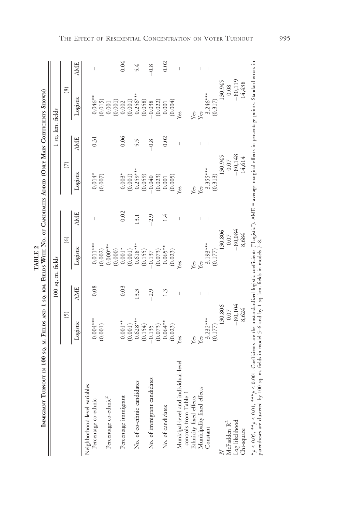|             | í                                                                                                                                                                                                                                                                                                                                                                                                                     |
|-------------|-----------------------------------------------------------------------------------------------------------------------------------------------------------------------------------------------------------------------------------------------------------------------------------------------------------------------------------------------------------------------------------------------------------------------|
|             |                                                                                                                                                                                                                                                                                                                                                                                                                       |
|             | ļ                                                                                                                                                                                                                                                                                                                                                                                                                     |
|             |                                                                                                                                                                                                                                                                                                                                                                                                                       |
|             | ֪ׅ֖ׅ֪ׅ֪ׅ֖֧ׅ֪ׅ֪ׅ֪ׅ֖֧֪ׅ֪֪ׅ֖֚֚֚֚֚֚֚֚֚֚֚֚֚֚֚֚֚֚֚֚֚֚֚֚֚֚֚֚֚֚֚֚֚֚֚֚֚֚֡֝֕֝֝֝֝֝֬֓֞֝֬֓֞֝֝֬֝                                                                                                                                                                                                                                                                                                                                    |
|             |                                                                                                                                                                                                                                                                                                                                                                                                                       |
|             |                                                                                                                                                                                                                                                                                                                                                                                                                       |
|             | l                                                                                                                                                                                                                                                                                                                                                                                                                     |
|             |                                                                                                                                                                                                                                                                                                                                                                                                                       |
|             |                                                                                                                                                                                                                                                                                                                                                                                                                       |
|             |                                                                                                                                                                                                                                                                                                                                                                                                                       |
|             |                                                                                                                                                                                                                                                                                                                                                                                                                       |
|             |                                                                                                                                                                                                                                                                                                                                                                                                                       |
| l<br>l<br>ļ | I                                                                                                                                                                                                                                                                                                                                                                                                                     |
|             | $\frac{1}{2}$                                                                                                                                                                                                                                                                                                                                                                                                         |
|             | ì                                                                                                                                                                                                                                                                                                                                                                                                                     |
|             |                                                                                                                                                                                                                                                                                                                                                                                                                       |
|             |                                                                                                                                                                                                                                                                                                                                                                                                                       |
|             | l                                                                                                                                                                                                                                                                                                                                                                                                                     |
|             | -<br>-<br>-                                                                                                                                                                                                                                                                                                                                                                                                           |
|             |                                                                                                                                                                                                                                                                                                                                                                                                                       |
|             | .<br>!                                                                                                                                                                                                                                                                                                                                                                                                                |
|             |                                                                                                                                                                                                                                                                                                                                                                                                                       |
|             | $\begin{array}{c} \hline \rule{0pt}{2ex} \rule{0pt}{2ex} \rule{0pt}{2ex} \rule{0pt}{2ex} \rule{0pt}{2ex} \rule{0pt}{2ex} \rule{0pt}{2ex} \rule{0pt}{2ex} \rule{0pt}{2ex} \rule{0pt}{2ex} \rule{0pt}{2ex} \rule{0pt}{2ex} \rule{0pt}{2ex} \rule{0pt}{2ex} \rule{0pt}{2ex} \rule{0pt}{2ex} \rule{0pt}{2ex} \rule{0pt}{2ex} \rule{0pt}{2ex} \rule{0pt}{2ex} \rule{0pt}{2ex} \rule{0pt}{2ex} \rule{0pt}{2ex} \rule{$<br>ļ |
|             |                                                                                                                                                                                                                                                                                                                                                                                                                       |
|             |                                                                                                                                                                                                                                                                                                                                                                                                                       |
|             |                                                                                                                                                                                                                                                                                                                                                                                                                       |
|             |                                                                                                                                                                                                                                                                                                                                                                                                                       |
|             |                                                                                                                                                                                                                                                                                                                                                                                                                       |
|             |                                                                                                                                                                                                                                                                                                                                                                                                                       |
|             |                                                                                                                                                                                                                                                                                                                                                                                                                       |
|             | Ì                                                                                                                                                                                                                                                                                                                                                                                                                     |
|             |                                                                                                                                                                                                                                                                                                                                                                                                                       |
|             |                                                                                                                                                                                                                                                                                                                                                                                                                       |

|                                                             |                                   |            | 100 sq. m. fields                                                           |            |                                                          |            | 1 sq. km. fields                                                       |            |
|-------------------------------------------------------------|-----------------------------------|------------|-----------------------------------------------------------------------------|------------|----------------------------------------------------------|------------|------------------------------------------------------------------------|------------|
|                                                             | 6                                 |            | $\odot$                                                                     |            | $\circ$                                                  |            | $\circledS$                                                            |            |
|                                                             | Logistic                          | <b>AME</b> | Logistic                                                                    | <b>AME</b> | Logistic                                                 | <b>AME</b> | Logistic                                                               | <b>AME</b> |
| Neighborhood-level variables                                |                                   |            |                                                                             |            |                                                          |            |                                                                        |            |
| Percentage co-ethnic                                        | $0.004***$                        | 0.08       | $0.011***$                                                                  |            | $0.014*$                                                 | 0.31       | $0.046**$                                                              |            |
|                                                             | (0.001)                           |            | (0.002)                                                                     |            | (0.007)                                                  |            | (0.015)                                                                |            |
| Percentage co-ethnic <sup>2</sup>                           | $\mid$                            |            | $0.000**$                                                                   |            | I                                                        |            | $-0.001$                                                               |            |
|                                                             |                                   |            |                                                                             |            |                                                          |            | (0.001)                                                                |            |
| Percentage immigrant                                        | $0.001***$                        | 0.03       |                                                                             | 0.02       | $0.003*$                                                 | 0.06       |                                                                        | 0.04       |
|                                                             | (0.001)                           |            |                                                                             |            | (0.001)                                                  |            |                                                                        |            |
| No. of co-ethnic candidates                                 | $0.628***$                        | 13.3       | $\begin{array}{c} (0.000) \\ 0.001^* \\ (0.001) \\ 0.618^{***} \end{array}$ | 13.1       | $0.259***$                                               | 5.5        | $\begin{array}{c} 0.002 \\ (0.001) \\ 0.256*** \\ (0.058) \end{array}$ | 5.4        |
|                                                             | (0.154)                           |            | (0.155)                                                                     |            | (0.059)                                                  |            |                                                                        |            |
| No. of immigrant candidates                                 | $-0.135$                          | $-2.9$     | $-0.137$                                                                    | $-2.9$     | $-0.040$                                                 | $-0.8$     | $-0.038$                                                               | $-0.8$     |
|                                                             |                                   |            |                                                                             |            |                                                          |            |                                                                        |            |
| No. of candidates                                           | $(0.073)$<br>0.064**              | 1.3        | $(0.073)$<br>$0.065**$<br>$(0.023)$                                         | 1.4        | $\begin{array}{c} (0.023) \\ 0.001 \\ 0.005 \end{array}$ | 0.02       | $\begin{array}{c} (0.022) \\ 0.001 \end{array}$                        | 0.02       |
|                                                             | (0.023)                           |            |                                                                             |            |                                                          |            | (0.004)                                                                |            |
| Municipal-level and individual-level<br>controls from Table | les                               |            | les                                                                         |            | l <sup>es</sup>                                          | Ï          | les                                                                    | Ï          |
| Ethnicity fixed effects                                     | Yes                               |            | Yes                                                                         |            | Yes                                                      |            | Yes                                                                    |            |
| Municipality fixed effects                                  | Yes                               |            | Yes                                                                         |            | Yes                                                      |            | Yes                                                                    |            |
| Constant                                                    | $-3.232***$                       |            | $-3.193***$                                                                 |            | $-3.355***$                                              |            | $-3.246***$                                                            |            |
|                                                             | (0.177)                           |            | (0.177)                                                                     |            | (0.313)                                                  |            | (0.317)                                                                |            |
| $\geq$                                                      | 130,806                           |            | 130,806                                                                     |            | 130,945                                                  |            | 130,945                                                                |            |
| McFadden $\mathbf{R}^2$                                     |                                   |            | 0.07                                                                        |            | $0.07$                                                   |            | 0.08                                                                   |            |
| Log likelihood                                              | $-80,104$<br>$-80,104$<br>$8,624$ |            | $-80,084$                                                                   |            | $-80,148$                                                |            | $-80,119$<br>14,438                                                    |            |
| Chi-square                                                  |                                   |            | 8,684                                                                       |            | 14,614                                                   |            |                                                                        |            |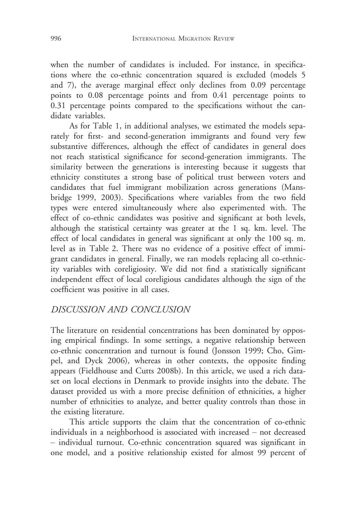when the number of candidates is included. For instance, in specifications where the co-ethnic concentration squared is excluded (models 5 and 7), the average marginal effect only declines from 0.09 percentage points to 0.08 percentage points and from 0.41 percentage points to 0.31 percentage points compared to the specifications without the candidate variables.

As for Table 1, in additional analyses, we estimated the models separately for first- and second-generation immigrants and found very few substantive differences, although the effect of candidates in general does not reach statistical significance for second-generation immigrants. The similarity between the generations is interesting because it suggests that ethnicity constitutes a strong base of political trust between voters and candidates that fuel immigrant mobilization across generations (Mansbridge 1999, 2003). Specifications where variables from the two field types were entered simultaneously where also experimented with. The effect of co-ethnic candidates was positive and significant at both levels, although the statistical certainty was greater at the 1 sq. km. level. The effect of local candidates in general was significant at only the 100 sq. m. level as in Table 2. There was no evidence of a positive effect of immigrant candidates in general. Finally, we ran models replacing all co-ethnicity variables with coreligiosity. We did not find a statistically significant independent effect of local coreligious candidates although the sign of the coefficient was positive in all cases.

# DISCUSSION AND CONCLUSION

The literature on residential concentrations has been dominated by opposing empirical findings. In some settings, a negative relationship between co-ethnic concentration and turnout is found (Jonsson 1999; Cho, Gimpel, and Dyck 2006), whereas in other contexts, the opposite finding appears (Fieldhouse and Cutts 2008b). In this article, we used a rich dataset on local elections in Denmark to provide insights into the debate. The dataset provided us with a more precise definition of ethnicities, a higher number of ethnicities to analyze, and better quality controls than those in the existing literature.

This article supports the claim that the concentration of co-ethnic individuals in a neighborhood is associated with increased – not decreased – individual turnout. Co-ethnic concentration squared was significant in one model, and a positive relationship existed for almost 99 percent of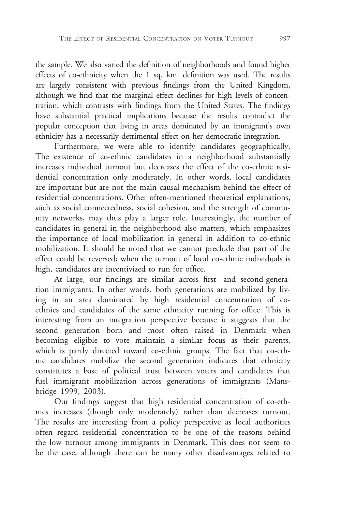the sample. We also varied the definition of neighborhoods and found higher effects of co-ethnicity when the 1 sq. km. definition was used. The results are largely consistent with previous findings from the United Kingdom, although we find that the marginal effect declines for high levels of concentration, which contrasts with findings from the United States. The findings have substantial practical implications because the results contradict the popular conception that living in areas dominated by an immigrant's own ethnicity has a necessarily detrimental effect on her democratic integration.

Furthermore, we were able to identify candidates geographically. The existence of co-ethnic candidates in a neighborhood substantially increases individual turnout but decreases the effect of the co-ethnic residential concentration only moderately. In other words, local candidates are important but are not the main causal mechanism behind the effect of residential concentrations. Other often-mentioned theoretical explanations, such as social connectedness, social cohesion, and the strength of community networks, may thus play a larger role. Interestingly, the number of candidates in general in the neighborhood also matters, which emphasizes the importance of local mobilization in general in addition to co-ethnic mobilization. It should be noted that we cannot preclude that part of the effect could be reversed; when the turnout of local co-ethnic individuals is high, candidates are incentivized to run for office.

At large, our findings are similar across first- and second-generation immigrants. In other words, both generations are mobilized by living in an area dominated by high residential concentration of coethnics and candidates of the same ethnicity running for office. This is interesting from an integration perspective because it suggests that the second generation born and most often raised in Denmark when becoming eligible to vote maintain a similar focus as their parents, which is partly directed toward co-ethnic groups. The fact that co-ethnic candidates mobilize the second generation indicates that ethnicity constitutes a base of political trust between voters and candidates that fuel immigrant mobilization across generations of immigrants (Mansbridge 1999, 2003).

Our findings suggest that high residential concentration of co-ethnics increases (though only moderately) rather than decreases turnout. The results are interesting from a policy perspective as local authorities often regard residential concentration to be one of the reasons behind the low turnout among immigrants in Denmark. This does not seem to be the case, although there can be many other disadvantages related to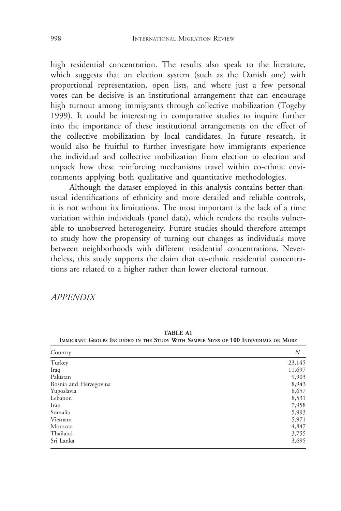high residential concentration. The results also speak to the literature, which suggests that an election system (such as the Danish one) with proportional representation, open lists, and where just a few personal votes can be decisive is an institutional arrangement that can encourage high turnout among immigrants through collective mobilization (Togeby 1999). It could be interesting in comparative studies to inquire further into the importance of these institutional arrangements on the effect of the collective mobilization by local candidates. In future research, it would also be fruitful to further investigate how immigrants experience the individual and collective mobilization from election to election and unpack how these reinforcing mechanisms travel within co-ethnic environments applying both qualitative and quantitative methodologies.

Although the dataset employed in this analysis contains better-thanusual identifications of ethnicity and more detailed and reliable controls, it is not without its limitations. The most important is the lack of a time variation within individuals (panel data), which renders the results vulnerable to unobserved heterogeneity. Future studies should therefore attempt to study how the propensity of turning out changes as individuals move between neighborhoods with different residential concentrations. Nevertheless, this study supports the claim that co-ethnic residential concentrations are related to a higher rather than lower electoral turnout.

#### APPENDIX

| Country                | N      |
|------------------------|--------|
| Turkey                 | 23,145 |
| Iraq                   | 11,697 |
| Pakistan               | 9,903  |
| Bosnia and Herzegovina | 8,943  |
| Yugoslavia             | 8,657  |
| Lebanon                | 8,531  |
| Iran                   | 7,958  |
| Somalia                | 5,993  |
| Vietnam                | 5,971  |
| Morocco                | 4,847  |
| Thailand               | 3,755  |
| Sri Lanka              | 3,695  |

TABLE A1 IMMIGRANT GROUPS INCLUDED IN THE STUDY WITH SAMPLE SIZES OF 100 INDIVIDUALS OR MORE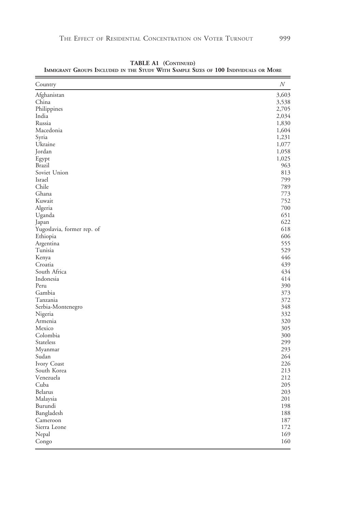| Country                      | N          |
|------------------------------|------------|
| Afghanistan                  | 3,603      |
| China                        | 3,538      |
| Philippines                  | 2,705      |
| India                        | 2,034      |
| Russia                       | 1,830      |
| Macedonia                    | 1,604      |
| Syria                        | 1,231      |
| Ukraine                      | 1,077      |
| Jordan                       | 1,058      |
| Egypt                        | 1,025      |
| <b>Brazil</b>                | 963        |
| Soviet Union                 | 813        |
| Israel                       | 799        |
| Chile                        | 789        |
| Ghana                        | 773        |
| Kuwait                       | 752        |
| Algeria                      | 700        |
| Uganda                       | 651        |
| Japan                        | 622        |
| Yugoslavia, former rep. of   | 618        |
| Ethiopia                     | 606        |
| Argentina                    | 555        |
| Tunisia                      | 529        |
| Kenya                        | 446        |
| Croatia                      | 439        |
| South Africa                 | 434        |
| Indonesia                    | 414        |
| Peru                         | 390        |
| Gambia                       | 373        |
| Tanzania                     | 372        |
|                              | 348        |
| Serbia-Montenegro<br>Nigeria | 332        |
| Armenia                      | 320        |
| Mexico                       | 305        |
| Colombia                     |            |
| Stateless                    | 300<br>299 |
|                              | 293        |
| Myanmar                      | 264        |
| Sudan                        | 226        |
| Ivory Coast                  |            |
| South Korea                  | 213        |
| Venezuela                    | 212        |
| Cuba                         | 205        |
| Belarus                      | 203        |
| Malaysia                     | 201        |
| Burundi                      | 198        |
| Bangladesh                   | 188        |
| Cameroon                     | 187        |
| Sierra Leone                 | 172        |
| Nepal                        | 169        |
| Congo                        | 160        |

TABLE A1 (CONTINUED) IMMIGRANT GROUPS INCLUDED IN THE STUDY WITH SAMPLE SIZES OF 100 INDIVIDUALS OR MORE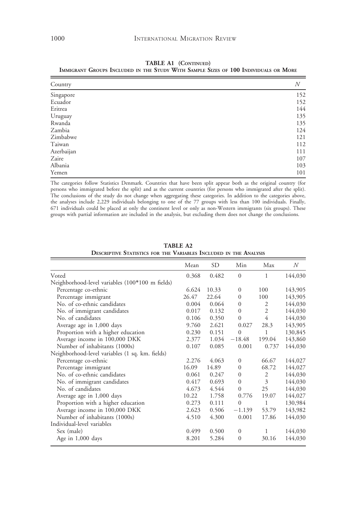| Country    | N   |
|------------|-----|
| Singapore  | 152 |
| Ecuador    | 152 |
| Eritrea    | 144 |
| Uruguay    | 135 |
| Rwanda     | 135 |
| Zambia     | 124 |
| Zimbabwe   | 121 |
| Taiwan     | 112 |
| Azerbaijan | 111 |
| Zaire      | 107 |
| Albania    | 103 |
| Yemen      | 101 |

TABLE A1 (CONTINUED) IMMIGRANT GROUPS INCLUDED IN THE STUDY WITH SAMPLE SIZES OF 100 INDIVIDUALS OR MORE

The categories follow Statistics Denmark. Countries that have been split appear both as the original country (for persons who immigrated before the split) and as the current countries (for persons who immigrated after the split). The conclusions of the study do not change when aggregating these categories. In addition to the categories above, the analyses include 2,229 individuals belonging to one of the 77 groups with less than 100 individuals. Fi

|                                                 | Mean  | SD    | Min              | Max            | N       |
|-------------------------------------------------|-------|-------|------------------|----------------|---------|
| Voted                                           | 0.368 | 0.482 | $\mathbf{0}$     | 1              | 144,030 |
| Neighborhood-level variables (100*100 m fields) |       |       |                  |                |         |
| Percentage co-ethnic                            | 6.624 | 10.33 | $\boldsymbol{0}$ | 100            | 143,905 |
| Percentage immigrant                            | 26.47 | 22.64 | $\Omega$         | 100            | 143,905 |
| No. of co-ethnic candidates                     | 0.004 | 0.064 | $\Omega$         | 2              | 144,030 |
| No. of immigrant candidates                     | 0.017 | 0.132 | $\mathbf{0}$     | $\overline{2}$ | 144,030 |
| No. of candidates                               | 0.106 | 0.350 | $\mathbf{0}$     | 4              | 144,030 |
| Average age in 1,000 days                       | 9.760 | 2.621 | 0.027            | 28.3           | 143,905 |
| Proportion with a higher education              | 0.230 | 0.151 | $\mathbf{0}$     | 1              | 130,845 |
| Average income in 100,000 DKK                   | 2.377 | 1.034 | $-18.48$         | 199.04         | 143,860 |
| Number of inhabitants (1000s)                   | 0.107 | 0.085 | 0.001            | 0.737          | 144,030 |
| Neighborhood-level variables (1 sq. km. fields) |       |       |                  |                |         |
| Percentage co-ethnic                            | 2.276 | 4.063 | $\mathbf{0}$     | 66.67          | 144,027 |
| Percentage immigrant                            | 16.09 | 14.89 | $\mathbf{0}$     | 68.72          | 144,027 |
| No. of co-ethnic candidates                     | 0.061 | 0.247 | $\mathbf{0}$     | 2              | 144,030 |
| No. of immigrant candidates                     | 0.417 | 0.693 | $\Omega$         | 3              | 144,030 |
| No. of candidates                               | 4.673 | 4.544 | $\mathbf{0}$     | 25             | 144,030 |
| Average age in 1,000 days                       | 10.22 | 1.758 | 0.776            | 19.07          | 144,027 |
| Proportion with a higher education              | 0.273 | 0.111 | $\mathbf{0}$     | 1              | 130,984 |
| Average income in 100,000 DKK                   | 2.623 | 0.506 | $-1.139$         | 53.79          | 143,982 |
| Number of inhabitants (1000s)                   | 4.510 | 4.300 | 0.001            | 17.86          | 144,030 |
| Individual-level variables                      |       |       |                  |                |         |
| Sex (male)                                      | 0.499 | 0.500 | $\Omega$         |                | 144,030 |
| Age in $1,000$ days                             | 8.201 | 5.284 | $\mathbf{0}$     | 30.16          | 144,030 |

TABLE A2 DESCRIPTIVE STATISTICS FOR THE VARIABLES INCLUDED IN THE ANALYSIS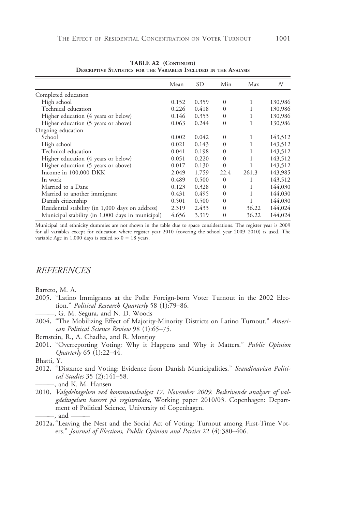|                                                  | Mean  | SD    | Min          | Max   | N       |
|--------------------------------------------------|-------|-------|--------------|-------|---------|
| Completed education                              |       |       |              |       |         |
| High school                                      | 0.152 | 0.359 | $\mathbf{0}$ | 1     | 130,986 |
| Technical education                              | 0.226 | 0.418 | $\Omega$     |       | 130,986 |
| Higher education (4 years or below)              | 0.146 | 0.353 | $\mathbf{0}$ |       | 130,986 |
| Higher education (5 years or above)              | 0.063 | 0.244 | $\mathbf{0}$ |       | 130,986 |
| Ongoing education                                |       |       |              |       |         |
| School                                           | 0.002 | 0.042 | $\mathbf{0}$ | 1     | 143,512 |
| High school                                      | 0.021 | 0.143 | $\mathbf{0}$ |       | 143,512 |
| Technical education                              | 0.041 | 0.198 | $\mathbf{0}$ |       | 143,512 |
| Higher education (4 years or below)              | 0.051 | 0.220 | $\Omega$     |       | 143,512 |
| Higher education (5 years or above)              | 0.017 | 0.130 | $\mathbf{0}$ |       | 143,512 |
| Income in 100,000 DKK                            | 2.049 | 1.759 | $-22.4$      | 261.3 | 143,985 |
| In work                                          | 0.489 | 0.500 | $\mathbf{0}$ |       | 143,512 |
| Married to a Dane                                | 0.123 | 0.328 | $\mathbf{0}$ | 1     | 144,030 |
| Married to another immigrant                     | 0.431 | 0.495 | $\Omega$     | 1     | 144,030 |
| Danish citizenship                               | 0.501 | 0.500 | $\Omega$     |       | 144,030 |
| Residential stability (in 1,000 days on address) | 2.319 | 2.433 | $\Omega$     | 36.22 | 144,024 |
| Municipal stability (in 1,000 days in municipal) | 4.656 | 3.319 | $\mathbf{0}$ | 36.22 | 144,024 |

TABLE A2 (CONTINUED) DESCRIPTIVE STATISTICS FOR THE VARIABLES INCLUDED IN THE ANALYSIS

Municipal and ethnicity dummies are not shown in the table due to space considerations. The register year is 2009 for all variables except for education where register year 2010 (covering the school year 2009–2010) is used. The variable Age in  $1,000$  days is scaled so  $0 = 18$  years.

#### **REFERENCES**

Barreto, M. A.

- 2005. "Latino Immigrants at the Polls: Foreign-born Voter Turnout in the 2002 Election." Political Research Quarterly 58 (1):79–86.
	- -, G. M. Segura, and N. D. Woods
- 2004. "The Mobilizing Effect of Majority-Minority Districts on Latino Turnout." American Political Science Review 98 (1):65–75.
- Bernstein, R., A. Chadha, and R. Montjoy
- 2001. "Overreporting Voting: Why it Happens and Why it Matters." Public Opinion Quarterly 65 (1):22–44.
- Bhatti, Y.
- 2012. "Distance and Voting: Evidence from Danish Municipalities." Scandinavian Political Studies 35 (2):141–58. ———, and K. M. Hansen
- 2010. Valgdeltagelsen ved kommunalvalget 17. November 2009. Beskrivende analyser af valgdeltagelsen baseret på registerdata, Working paper 2010/03. Copenhagen: Department of Political Science, University of Copenhagen. , and
- 2012a."Leaving the Nest and the Social Act of Voting: Turnout among First-Time Voters." Journal of Elections, Public Opinion and Parties 22 (4):380–406.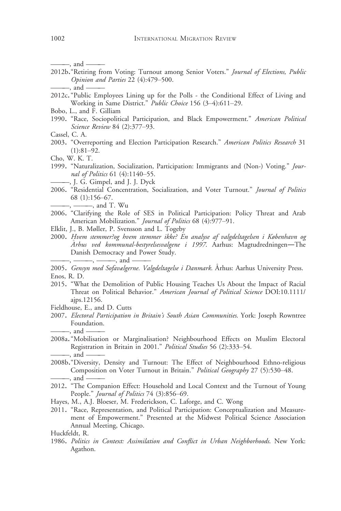———, and ———

- 2012b. "Retiring from Voting: Turnout among Senior Voters." Journal of Elections, Public Opinion and Parties 22 (4):479–500. —, and  $-$
- 2012c. "Public Employees Lining up for the Polls the Conditional Effect of Living and Working in Same District." Public Choice 156 (3–4):611–29.
- Bobo, L., and F. Gilliam
- 1990. "Race, Sociopolitical Participation, and Black Empowerment." American Political Science Review 84 (2):377–93.
- Cassel, C. A.
- 2003. "Overreporting and Election Participation Research." American Politics Research 31  $(1):81-92.$
- Cho, W. K. T.
- 1999. "Naturalization, Socialization, Participation: Immigrants and (Non-) Voting." Journal of Politics 61 (4):1140–55.

———, J. G. Gimpel, and J. J. Dyck

2006. "Residential Concentration, Socialization, and Voter Turnout." Journal of Politics 68 (1):156–67.

———, ———, and T. Wu

- 2006. "Clarifying the Role of SES in Political Participation: Policy Threat and Arab American Mobilization." Journal of Politics 68 (4):977-91.
- Elklit, J., B. Møller, P. Svensson and L. Togeby
- 2000. Hvem stemmer?og hvem stemmer ikke? En analyse af valgdeltagelsen i København og Arhus ved kommunal-bestyrelsesvalgene i 1997. Aarhus: Magtudredningen―The Danish Democracy and Power Study.  $-$ ,  $-$ ,  $-$ ,  $-$ , and  $-$

2005. Gensyn med Sofavælgerne. Valgdeltagelse i Danmark. Århus: Aarhus University Press. Enos, R. D.

- 2015. "What the Demolition of Public Housing Teaches Us About the Impact of Racial Threat on Political Behavior." American Journal of Political Science DOI[:10.1111/](http://dx.doi.org/10.1111/ajps.12156) [ajps.12156.](http://dx.doi.org/10.1111/ajps.12156)
- Fieldhouse, E., and D. Cutts
- 2007. Electoral Participation in Britain's South Asian Communities. York: Joseph Rowntree Foundation. ———, and ———
- 2008a."Mobilisation or Marginalisation? Neighbourhood Effects on Muslim Electoral Registration in Britain in 2001." Political Studies 56 (2):333–54. ———, and ———
- 2008b."Diversity, Density and Turnout: The Effect of Neighbourhood Ethno-religious Composition on Voter Turnout in Britain." Political Geography 27 (5):530-48. -, and -
- 2012. "The Companion Effect: Household and Local Context and the Turnout of Young People." Journal of Politics 74 (3):856-69.
- Hayes, M., A.J. Bloeser, M. Frederickson, C. Laforge, and C. Wong
- 2011. "Race, Representation, and Political Participation: Conceptualization and Measurement of Empowerment." Presented at the Midwest Political Science Association Annual Meeting, Chicago.

Huckfeldt, R.

1986. Politics in Context: Assimilation and Conflict in Urban Neighborhoods. New York: Agathon.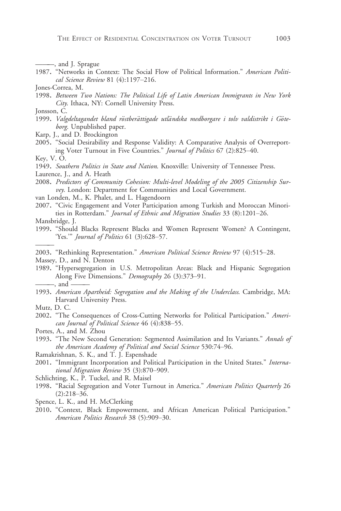———, and J. Sprague

- 1987. "Networks in Context: The Social Flow of Political Information." American Political Science Review 81 (4):1197–216.
- Jones-Correa, M.
- 1998. Between Two Nations: The Political Life of Latin American Immigrants in New York City. Ithaca, NY: Cornell University Press.
- Jonsson, C.
- 1999. Valgdeltagandet bland röstberättigade utländska medborgare i tolv valdistrikt i Göteborg. Unpublished paper.
- Karp, J., and D. Brockington
- 2005. "Social Desirability and Response Validity: A Comparative Analysis of Overreporting Voter Turnout in Five Countries." Journal of Politics 67 (2):825–40.
- Key, V. O.
- 1949. Southern Politics in State and Nation. Knoxville: University of Tennessee Press.
- Laurence, J., and A. Heath
- 2008. Predictors of Community Cohesion: Multi-level Modeling of the 2005 Citizenship Survey. London: Department for Communities and Local Government.
- van Londen, M., K. Phalet, and L. Hagendoorn
- 2007. "Civic Engagement and Voter Participation among Turkish and Moroccan Minorities in Rotterdam." Journal of Ethnic and Migration Studies 33 (8):1201–26.
- Mansbridge, J.

———

- 1999. "Should Blacks Represent Blacks and Women Represent Women? A Contingent, 'Yes.'" Journal of Politics 61 (3):628–57.
- 2003. "Rethinking Representation." American Political Science Review 97 (4):515-28.
- Massey, D., and N. Denton
- 1989. "Hypersegregation in U.S. Metropolitan Areas: Black and Hispanic Segregation Along Five Dimensions." Demography 26 (3):373–91. ———, and ———
- 1993. American Apartheid: Segregation and the Making of the Underclass. Cambridge, MA: Harvard University Press.
- Mutz, D. C.
- 2002. "The Consequences of Cross-Cutting Networks for Political Participation." American Journal of Political Science 46 (4):838–55.
- Portes, A., and M. Zhou
- 1993. "The New Second Generation: Segmented Assimilation and Its Variants." Annals of the American Academy of Political and Social Science 530:74–96.
- Ramakrishnan, S. K., and T. J. Espenshade
- 2001. "Immigrant Incorporation and Political Participation in the United States." *Interna*tional Migration Review 35 (3):870–909.
- Schlichting, K., P. Tuckel, and R. Maisel
- 1998. "Racial Segregation and Voter Turnout in America." American Politics Quarterly 26 (2):218–36.
- Spence, L. K., and H. McClerking
- 2010. "Context, Black Empowerment, and African American Political Participation." American Politics Research 38 (5):909–30.